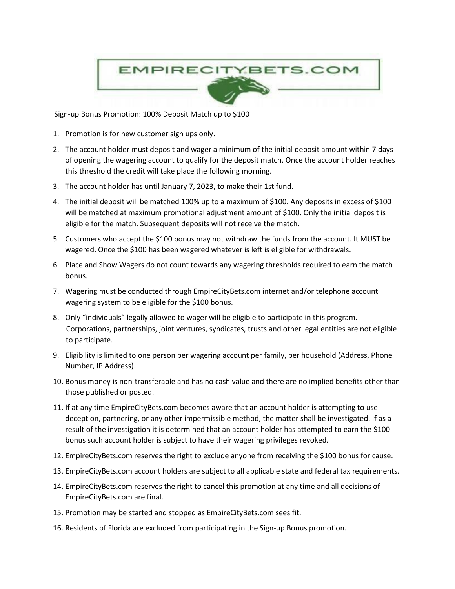

Sign-up Bonus Promotion: 100% Deposit Match up to \$100

- 1. Promotion is for new customer sign ups only.
- 2. The account holder must deposit and wager a minimum of the initial deposit amount within 7 days of opening the wagering account to qualify for the deposit match. Once the account holder reaches this threshold the credit will take place the following morning.
- 3. The account holder has until January 7, 2023, to make their 1st fund.
- 4. The initial deposit will be matched 100% up to a maximum of \$100. Any deposits in excess of \$100 will be matched at maximum promotional adjustment amount of \$100. Only the initial deposit is eligible for the match. Subsequent deposits will not receive the match.
- 5. Customers who accept the \$100 bonus may not withdraw the funds from the account. It MUST be wagered. Once the \$100 has been wagered whatever is left is eligible for withdrawals.
- 6. Place and Show Wagers do not count towards any wagering thresholds required to earn the match bonus.
- 7. Wagering must be conducted through EmpireCityBets.com internet and/or telephone account wagering system to be eligible for the \$100 bonus.
- 8. Only "individuals" legally allowed to wager will be eligible to participate in this program. Corporations, partnerships, joint ventures, syndicates, trusts and other legal entities are not eligible to participate.
- 9. Eligibility is limited to one person per wagering account per family, per household (Address, Phone Number, IP Address).
- 10. Bonus money is non-transferable and has no cash value and there are no implied benefits other than those published or posted.
- 11. If at any time EmpireCityBets.com becomes aware that an account holder is attempting to use deception, partnering, or any other impermissible method, the matter shall be investigated. If as a result of the investigation it is determined that an account holder has attempted to earn the \$100 bonus such account holder is subject to have their wagering privileges revoked.
- 12. EmpireCityBets.com reserves the right to exclude anyone from receiving the \$100 bonus for cause.
- 13. EmpireCityBets.com account holders are subject to all applicable state and federal tax requirements.
- 14. EmpireCityBets.com reserves the right to cancel this promotion at any time and all decisions of EmpireCityBets.com are final.
- 15. Promotion may be started and stopped as EmpireCityBets.com sees fit.
- 16. Residents of Florida are excluded from participating in the Sign-up Bonus promotion.